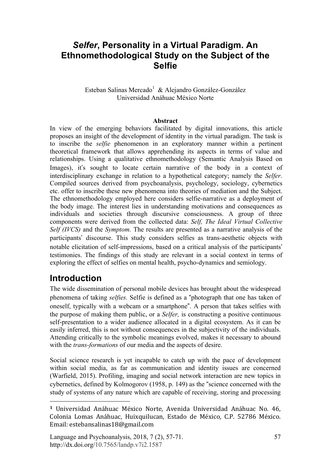## *Selfer***, Personality in a Virtual Paradigm. An Ethnomethodological Study on the Subject of the Selfie**

#### Esteban Salinas Mercado<sup>1</sup> & Alejandro González-González Universidad Anáhuac México Norte

#### **Abstract**

In view of the emerging behaviors facilitated by digital innovations, this article proposes an insight of the development of identity in the virtual paradigm. The task is to inscribe the *selfie* phenomenon in an exploratory manner within a pertinent theoretical framework that allows apprehending its aspects in terms of value and relationships. Using a qualitative ethnomethodology (Semantic Analysis Based on Images), it's sought to locate certain narrative of the body in a context of interdisciplinary exchange in relation to a hypothetical category; namely the *Selfer.* Compiled sources derived from psychoanalysis, psychology, sociology, cybernetics etc. offer to inscribe these new phenomena into theories of mediation and the Subject. The ethnomethodology employed here considers selfie-narrative as a deployment of the body image. The interest lies in understanding motivations and consequences as individuals and societies through discursive consciousness. A group of three components were derived from the collected data: *Self, The Ideal Virtual Collective Self (IVCS)* and the *Symptom.* The results are presented as a narrative analysis of the participants' discourse. This study considers selfies as trans-aesthetic objects with notable elicitation of self-impressions, based on a critical analysis of the participants' testimonies. The findings of this study are relevant in a social context in terms of exploring the effect of selfies on mental health, psycho-dynamics and semiology.

### **Introduction**

 $\overline{a}$ 

The wide dissemination of personal mobile devices has brought about the widespread phenomena of taking *selfies.* Selfie is defined as a "photograph that one has taken of oneself, typically with a webcam or a smartphone". A person that takes selfies with the purpose of making them public, or a *Selfer,* is constructing a positive continuous self-presentation to a wider audience allocated in a digital ecosystem. As it can be easily inferred, this is not without consequences in the subjectivity of the individuals. Attending critically to the symbolic meanings evolved, makes it necessary to abound with the *trans-formations* of our media and the aspects of desire.

Social science research is yet incapable to catch up with the pace of development within social media, as far as communication and identity issues are concerned (Warfield, 2015). Profiling, imaging and social network interaction are new topics in cybernetics, defined by Kolmogorov (1958, p. 149) as the "science concerned with the study of systems of any nature which are capable of receiving, storing and processing

**<sup>1</sup>** Universidad Anáhuac México Norte, Avenida Universidad Anáhuac No. 46, Colonia Lomas Anáhuac, Huixquilucan, Estado de México, C.P. 52786 México. Email: estebansalinas18@gmail.com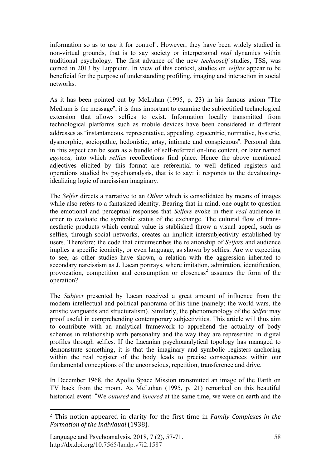information so as to use it for control". However, they have been widely studied in non-virtual grounds, that is to say society or interpersonal *real* dynamics within traditional psychology. The first advance of the new *technoself* studies, TSS, was coined in 2013 by Luppicini. In view of this context, studies on *selfies* appear to be beneficial for the purpose of understanding profiling, imaging and interaction in social networks.

As it has been pointed out by McLuhan (1995, p. 23) in his famous axiom "The Medium is the message"; it is thus important to examine the subjectified technological extension that allows selfies to exist. Information locally transmitted from technological platforms such as mobile devices have been considered in different addresses as "instantaneous, representative, appealing, egocentric, normative, hysteric, dysmorphic, sociopathic, hedonistic, artsy, intimate and conspicuous". Personal data in this aspect can be seen as a bundle of self-referred on-line content, or later named *egoteca,* into which *selfies* recollections find place. Hence the above mentioned adjectives elicited by this format are referential to well defined registers and operations studied by psychoanalysis, that is to say: it responds to the devaluatingidealizing logic of narcissism imaginary.

The *Selfer* directs a narrative to an *Other* which is consolidated by means of images while also refers to a fantasized identity. Bearing that in mind, one ought to question the emotional and perceptual responses that *Selfers* evoke in their *real* audience in order to evaluate the symbolic status of the exchange. The cultural flow of transaesthetic products which central value is stablished throw a visual appeal, such as selfies, through social networks, creates an implicit intersubjectivity established by users. Therefore; the code that circumscribes the relationship of *Selfers* and audience implies a specific iconicity, or even language, as shown by selfies. Are we expecting to see, as other studies have shown, a relation with the aggression inherited to secondary narcissism as J. Lacan portrays, where imitation, admiration, identification, provocation, competition and consumption or closeness<sup>2</sup> assumes the form of the operation?

The *Subject* presented by Lacan received a great amount of influence from the modern intellectual and political panorama of his time (namely; the world wars, the artistic vanguards and structuralism). Similarly, the phenomenology of the *Selfer* may proof useful in comprehending contemporary subjectivities. This article will thus aim to contribute with an analytical framework to apprehend the actuality of body schemes in relationship with personality and the way they are represented in digital profiles through selfies. If the Lacanian psychoanalytical topology has managed to demonstrate something, it is that the imaginary and symbolic registers anchoring within the real register of the body leads to precise consequences within our fundamental conceptions of the unconscious, repetition, transference and drive.

In December 1968, the Apollo Space Mission transmitted an image of the Earth on TV back from the moon. As McLuhan (1995, p. 21) remarked on this beautiful historical event: "We *outured* and *innered* at the same time, we were on earth and the

 $\overline{a}$ 

<sup>2</sup> This notion appeared in clarity for the first time in *Family Complexes in the Formation of the Individual* (1938).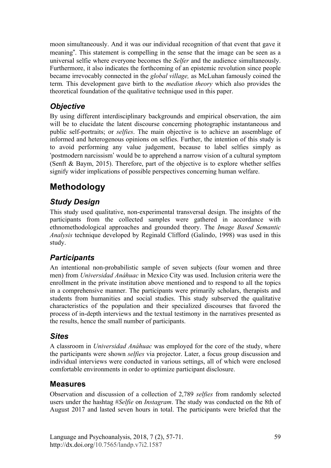moon simultaneously. And it was our individual recognition of that event that gave it meaning". This statement is compelling in the sense that the image can be seen as a universal selfie where everyone becomes the *Selfer* and the audience simultaneously. Furthermore, it also indicates the forthcoming of an epistemic revolution since people became irrevocably connected in the *global village,* as McLuhan famously coined the term*.* This development gave birth to the *mediation theory* which also provides the theoretical foundation of the qualitative technique used in this paper.

### *Objective*

By using different interdisciplinary backgrounds and empirical observation, the aim will be to elucidate the latent discourse concerning photographic instantaneous and public self-portraits; or *selfies*. The main objective is to achieve an assemblage of informed and heterogenous opinions on selfies. Further, the intention of this study is to avoid performing any value judgement, because to label selfies simply as 'postmodern narcissism' would be to apprehend a narrow vision of a cultural symptom (Senft & Baym, 2015). Therefore, part of the objective is to explore whether selfies signify wider implications of possible perspectives concerning human welfare.

# **Methodology**

### *Study Design*

This study used qualitative, non-experimental transversal design. The insights of the participants from the collected samples were gathered in accordance with ethnomethodological approaches and grounded theory. The *Image Based Semantic Analysis* technique developed by Reginald Clifford (Galindo, 1998) was used in this study.

### *Participants*

An intentional non-probabilistic sample of seven subjects (four women and three men) from *Universidad Anáhuac* in Mexico City was used. Inclusion criteria were the enrollment in the private institution above mentioned and to respond to all the topics in a comprehensive manner. The participants were primarily scholars, therapists and students from humanities and social studies. This study subserved the qualitative characteristics of the population and their specialized discourses that favored the process of in-depth interviews and the textual testimony in the narratives presented as the results, hence the small number of participants.

### *Sites*

A classroom in *Universidad Anáhuac* was employed for the core of the study, where the participants were shown *selfies* via projector. Later, a focus group discussion and individual interviews were conducted in various settings, all of which were enclosed comfortable environments in order to optimize participant disclosure.

#### **Measures**

Observation and discussion of a collection of 2,789 *selfies* from randomly selected users under the hashtag #*Selfie* on *Instagram*. The study was conducted on the 8th of August 2017 and lasted seven hours in total. The participants were briefed that the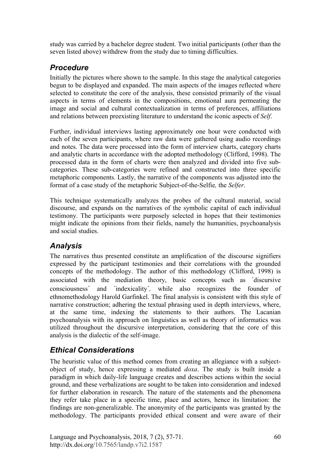study was carried by a bachelor degree student. Two initial participants (other than the seven listed above) withdrew from the study due to timing difficulties.

### *Procedure*

Initially the pictures where shown to the sample. In this stage the analytical categories begun to be displayed and expanded. The main aspects of the images reflected where selected to constitute the core of the analysis, these consisted primarily of the visual aspects in terms of elements in the compositions, emotional aura permeating the image and social and cultural contextualization in terms of preferences, affiliations and relations between preexisting literature to understand the iconic aspects of *Self*.

Further, individual interviews lasting approximately one hour were conducted with each of the seven participants, where raw data were gathered using audio recordings and notes. The data were processed into the form of interview charts, category charts and analytic charts in accordance with the adopted methodology (Clifford, 1998). The processed data in the form of charts were then analyzed and divided into five subcategories. These sub-categories were refined and constructed into three specific metaphoric components. Lastly, the narrative of the components was adjusted into the format of a case study of the metaphoric Subject-of-the-Selfie*,* the *Selfer*.

This technique systematically analyzes the probes of the cultural material, social discourse, and expands on the narratives of the symbolic capital of each individual testimony. The participants were purposely selected in hopes that their testimonies might indicate the opinions from their fields, namely the humanities, psychoanalysis and social studies.

### *Analysis*

The narratives thus presented constitute an amplification of the discourse signifiers expressed by the participant testimonies and their correlations with the grounded concepts of the methodology. The author of this methodology (Clifford, 1998) is associated with the mediation theory, basic concepts such as ´discursive consciousness´ and ´indexicality´*,* while also recognizes the founder of ethnomethodology Harold Garfinkel. The final analysis is consistent with this style of narrative construction; adhering the textual phrasing used in depth interviews, where, at the same time, indexing the statements to their authors. The Lacanian psychoanalysis with its approach on linguistics as well as theory of informatics was utilized throughout the discursive interpretation, considering that the core of this analysis is the dialectic of the self-image.

### *Ethical Considerations*

The heuristic value of this method comes from creating an allegiance with a subjectobject of study, hence expressing a mediated *doxa*. The study is built inside a paradigm in which daily-life language creates and describes actions within the social ground, and these verbalizations are sought to be taken into consideration and indexed for further elaboration in research. The nature of the statements and the phenomena they refer take place in a specific time, place and actors, hence its limitation: the findings are non-generalizable. The anonymity of the participants was granted by the methodology. The participants provided ethical consent and were aware of their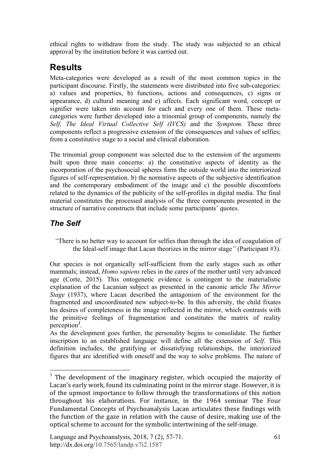ethical rights to withdraw from the study. The study was subjected to an ethical approval by the institution before it was carried out.

# **Results**

Meta-categories were developed as a result of the most common topics in the participant discourse. Firstly, the statements were distributed into five sub-categories: a) values and properties, b) functions, actions and consequences, c) signs or appearance, d) cultural meaning and e) affects. Each significant word, concept or signifier were taken into account for each and every one of them. These metacategories were further developed into a trinomial group of components, namely the *Self, The Ideal Virtual Collective Self (IVCS)* and the *Symptom.* These three components reflect a progressive extension of the consequences and values of selfies; from a constitutive stage to a social and clinical elaboration.

The trinomial group component was selected due to the extension of the arguments built upon three main concerns: a) the constitutive aspects of identity as the incorporation of the psychosocial spheres form the outside world into the interiorized figures of self-representation. b) the normative aspects of the subjective identification and the contemporary embodiment of the image and c) the possible discomforts related to the dynamics of the publicity of the self-profiles in digital media. The final material constitutes the processed analysis of the three components presented in the structure of narrative constructs that include some participants' quotes.

### *The Self*

*"*There is no better way to account for selfies than through the idea of coagulation of the Ideal-self image that Lacan theorizes in the mirror stage*"* (Participant #3).

Our species is not organically self-sufficient from the early stages such as other mammals; instead, *Homo sapiens* relies in the cares of the mother until very advanced age (Corte, 2015). This ontogenetic evidence is contingent to the materialistic explanation of the Lacanian subject as presented in the canonic article *The Mirror Stage* (1937), where Lacan described the antagonism of the environment for the fragmented and uncoordinated new subject-to-be. In this adversity, the child fixates his desires of completeness in the image reflected in the mirror, which contrasts with the primitive feelings of fragmentation and constitutes the matrix of reality perception*<sup>3</sup>* .

As the development goes further, the personality begins to consolidate. The further inscription to an established language will define all the extension of *Self*. This definition includes, the gratifying or dissatisfying relationships, the interiorized figures that are identified with oneself and the way to solve problems. The nature of

 $3$  The development of the imaginary register, which occupied the majority of Lacan's early work, found its culminating point in the mirror stage. However, it is of the upmost importance to follow through the transformations of this notion throughout his elaborations. For instance, in the 1964 seminar The Four Fundamental Concepts of Psychoanalysis Lacan articulates these findings with the function of the gaze in relation with the cause of desire, making use of the optical scheme to account for the symbolic intertwining of the self-image.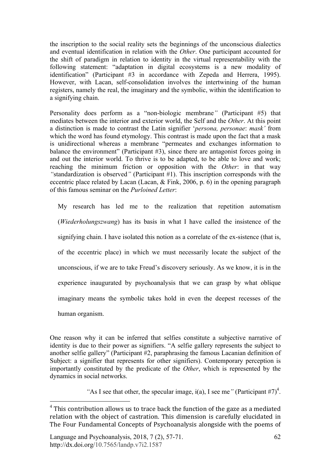the inscription to the social reality sets the beginnings of the unconscious dialectics and eventual identification in relation with the *Other*. One participant accounted for the shift of paradigm in relation to identity in the virtual representability with the following statement: "adaptation in digital ecosystems is a new modality of identification" (Participant #3 in accordance with Zepeda and Herrera, 1995). However, with Lacan, self-consolidation involves the intertwining of the human registers, namely the real, the imaginary and the symbolic, within the identification to a signifying chain.

Personality does perform as a "non-biologic membrane*"* (Participant #5) that mediates between the interior and exterior world, the Self and the *Other*. At this point a distinction is made to contrast the Latin signifier '*persona, personae*: *mask'* from which the word has found etymology. This contrast is made upon the fact that a mask is unidirectional whereas a membrane "permeates and exchanges information to balance the environment" (Participant #3), since there are antagonist forces going in and out the interior world. To thrive is to be adapted, to be able to love and work; reaching the minimum friction or opposition with the *Other*: in that way *"*standardization is observed*"* (Participant #1). This inscription corresponds with the eccentric place related by Lacan (Lacan, & Fink, 2006, p. 6) in the opening paragraph of this famous seminar on the *Purloined Letter*:

My research has led me to the realization that repetition automatism (*Wiederholungszwang*) has its basis in what I have called the insistence of the signifying chain. I have isolated this notion as a correlate of the ex-sistence (that is, of the eccentric place) in which we must necessarily locate the subject of the unconscious, if we are to take Freud's discovery seriously. As we know, it is in the experience inaugurated by psychoanalysis that we can grasp by what oblique imaginary means the symbolic takes hold in even the deepest recesses of the human organism.

One reason why it can be inferred that selfies constitute a subjective narrative of identity is due to their power as signifiers. "A selfie gallery represents the subject to another selfie gallery" (Participant #2, paraphrasing the famous Lacanian definition of Subject: a signifier that represents for other signifiers). Contemporary perception is importantly constituted by the predicate of the *Other*, which is represented by the dynamics in social networks.

"As I see that other, the specular image,  $i(a)$ , I see me" (Participant #7)<sup>4</sup>.

 $4$  This contribution allows us to trace back the function of the gaze as a mediated relation with the object of castration. This dimension is carefully elucidated in The Four Fundamental Concepts of Psychoanalysis alongside with the poems of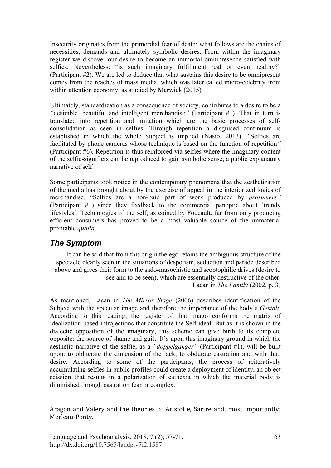Insecurity originates from the primordial fear of death; what follows are the chains of necessities, demands and ultimately symbolic desires. From within the imaginary register we discover our desire to become an immortal omnipresence satisfied with selfies. Nevertheless: "is such imaginary fulfillment real or even healthy?" (Participant #2). We are led to deduce that what sustains this desire to be omnipresent comes from the reaches of mass media, which was later called micro-celebrity from within attention economy, as studied by Marwick (2015).

Ultimately, standardization as a consequence of society, contributes to a desire to be a *"*desirable, beautiful and intelligent merchandise*"* (Participant #1). That in turn is translated into repetition and imitation which are the basic processes of selfconsolidation as seen in selfies. Through repetition a disguised continuum is established in which the whole Subject is implied (Nasio, 2013). *"*Selfies are facilitated by phone cameras whose technique is based on the function of repetition*"* (Participant #6). Repetition is thus reinforced via selfies where the imaginary content of the selfie-signifiers can be reproduced to gain symbolic sense; a public explanatory narrative of self.

Some participants took notice in the contemporary phenomena that the aesthetization of the media has brought about by the exercise of appeal in the interiorized logics of merchandise. "Selfies are a non-paid part of work produced by *prosumers"* (Participant #1) since they feedback to the commercial panoptic about ´trendy lifestyles´. Technologies of the self, as coined by Foucault, far from only producing efficient consumers has proved to be a most valuable source of the immaterial profitable *qualia*.

### *The Symptom*

 $\overline{a}$ 

It can be said that from this origin the ego retains the ambiguous structure of the spectacle clearly seen in the situations of despotism, seduction and parade described above and gives their form to the sado-masochistic and scoptophilic drives (desire to see and to be seen), which are essentially destructive of the other. Lacan in *The Family* (2002, p. 3)

As mentioned, Lacan in *The Mirror Stage* (2006) describes identification of the Subject with the specular image and therefore the importance of the body's *Gestalt.* According to this reading, the register of that imago conforms the matrix of idealization-based introjections that constitute the Self ideal. But as it is shown in the dialectic opposition of the imaginary, this scheme can give birth to its complete opposite: the source of shame and guilt. It's upon this imaginary ground in which the aesthetic narrative of the selfie, as a *"doppelganger"* (Participant #1), will be built upon: to obliterate the dimension of the lack, to obdurate castration and with that, desire. According to some of the participants, the process of reiteratively accumulating selfies in public profiles could create a deployment of identity, an object scission that results in a polarization of cathexia in which the material body is diminished through castration fear or complex.

Aragon and Valery and the theories of Aristotle, Sartre and, most importantly: Merleau-Ponty.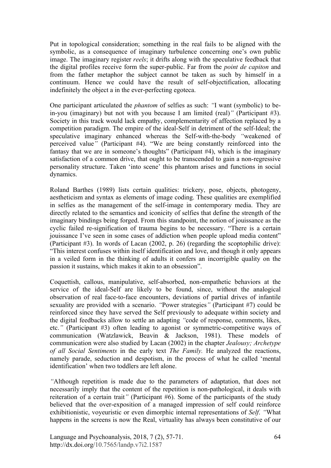Put in topological consideration; something in the real fails to be aligned with the symbolic, as a consequence of imaginary turbulence concerning one's own public image. The imaginary register *reels*; it drifts along with the speculative feedback that the digital profiles receive form the super-public. Far from the *point de capiton* and from the father metaphor the subject cannot be taken as such by himself in a continuum. Hence we could have the result of self-objectification, allocating indefinitely the object a in the ever-perfecting egoteca.

One participant articulated the *phantom* of selfies as such: *"*I want (symbolic) to bein-you (imaginary) but not with you because I am limited (real)*"* (Participant #3). Society in this track would lack empathy, complementarity of affection replaced by a competition paradigm. The empire of the ideal-Self in detriment of the self-Ideal; the speculative imaginary enhanced whereas the Self-with-the-body *"*weakened of perceived value*"* (Participant #4). "We are being constantly reinforced into the fantasy that we are in someone's thoughts" (Participant #4), which is the imaginary satisfaction of a common drive, that ought to be transcended to gain a non-regressive personality structure. Taken 'into scene' this phantom arises and functions in social dynamics.

Roland Barthes (1989) lists certain qualities: trickery, pose, objects, photogeny, aestheticism and syntax as elements of image coding. These qualities are exemplified in selfies as the management of the self-image in contemporary media. They are directly related to the semantics and iconicity of selfies that define the strength of the imaginary bindings being forged. From this standpoint, the notion of jouissance as the cyclic failed re-signification of trauma begins to be necessary. "There is a certain jouissance I've seen in some cases of addiction when people upload media content" (Participant #3). In words of Lacan (2002, p. 26) (regarding the scoptophilic drive): "This interest confuses within itself identification and love, and though it only appears in a veiled form in the thinking of adults it confers an incorrigible quality on the passion it sustains, which makes it akin to an obsession".

Coquettish, callous, manipulative, self-absorbed, non-empathetic behaviors at the service of the ideal-Self are likely to be found, since, without the analogical observation of real face-to-face encounters, deviations of partial drives of infantile sexuality are provided with a scenario. *"*Power strategies*"* (Participant #7) could be reinforced since they have served the Self previously to adequate within society and the digital feedbacks allow to settle an adapting *"*code of response, comments, likes, etc.*"* (Participant #3) often leading to agonist or symmetric-competitive ways of communication (Watzlawick, Beavin & Jackson, 1981). These models of communication were also studied by Lacan (2002) in the chapter *Jealousy; Archetype of all Social Sentiments* in the early text *The Family.* He analyzed the reactions, namely parade, seduction and despotism, in the process of what he called 'mental identification' when two toddlers are left alone.

*"*Although repetition is made due to the parameters of adaptation, that does not necessarily imply that the content of the repetition is non-pathological, it deals with reiteration of a certain trait*"* (Participant #6). Some of the participants of the study believed that the over-exposition of a managed impression of self could reinforce exhibitionistic, voyeuristic or even dimorphic internal representations of *Self*. *"*What happens in the screens is now the Real, virtuality has always been constitutive of our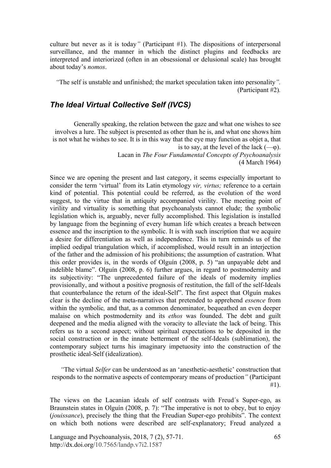culture but never as it is today*"* (Participant #1). The dispositions of interpersonal surveillance, and the manner in which the distinct plugins and feedbacks are interpreted and interiorized (often in an obsessional or delusional scale) has brought about today's *nomos*.

*"*The self is unstable and unfinished; the market speculation taken into personality*".* (Participant #2)*.*

#### *The Ideal Virtual Collective Self (IVCS)*

Generally speaking, the relation between the gaze and what one wishes to see involves a lure. The subject is presented as other than he is, and what one shows him is not what he wishes to see. It is in this way that the eye may function as objet a, that is to say, at the level of the lack  $(-\varphi)$ .

> Lacan in *The Four Fundamental Concepts of Psychoanalysis* (4 March 1964)

Since we are opening the present and last category, it seems especially important to consider the term 'virtual' from its Latin etymology *vir, virtus;* reference to a certain kind of potential. This potential could be referred, as the evolution of the word suggest, to the virtue that in antiquity accompanied virility. The meeting point of virility and virtuality is something that psychoanalysts cannot elude; the symbolic legislation which is, arguably, never fully accomplished. This legislation is installed by language from the beginning of every human life which creates a breach between essence and the inscription to the symbolic. It is with such inscription that we acquire a desire for differentiation as well as independence. This in turn reminds us of the implied oedipal triangulation which, if accomplished, would result in an interjection of the father and the admission of his prohibitions; the assumption of castration. What this order provides is, in the words of Olguín (2008, p. 5) "an unpayable debt and indelible blame". Olguín (2008, p. 6) further argues, in regard to postmodernity and its subjectivity: "The unprecedented failure of the ideals of modernity implies provisionally, and without a positive prognosis of restitution, the fall of the self-Ideals that counterbalance the return of the ideal-Self". The first aspect that Olguín makes clear is the decline of the meta-narratives that pretended to apprehend *essence* from within the symbolic*,* and that, as a common denominator, bequeathed an even deeper malaise on which postmodernity and its *ethos* was founded. The debt and guilt deepened and the media aligned with the voracity to alleviate the lack of being. This refers us to a second aspect; without spiritual expectations to be deposited in the social construction or in the innate betterment of the self-Ideals (sublimation), the contemporary subject turns his imaginary impetuosity into the construction of the prosthetic ideal-Self (idealization).

*"*The virtual *Selfer* can be understood as an 'anesthetic-aesthetic' construction that responds to the normative aspects of contemporary means of production*"* (Participant #1).

The views on the Lacanian ideals of self contrasts with Freud´s Super-ego, as Braunstein states in Olguín (2008, p. 7): "The imperative is not to obey, but to enjoy (*jouissance*), precisely the thing that the Freudian Super-ego prohibits". The context on which both notions were described are self-explanatory; Freud analyzed a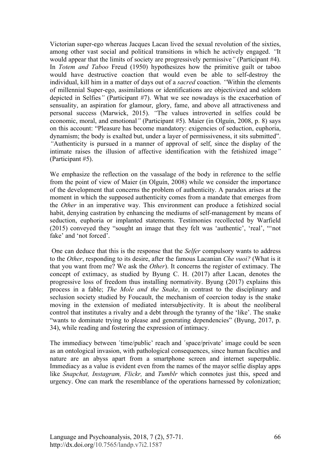Victorian super-ego whereas Jacques Lacan lived the sexual revolution of the sixties, among other vast social and political transitions in which he actively engaged. *"*It would appear that the limits of society are progressively permissive*"* (Participant #4). In *Totem and Taboo* Freud (1950) hypothesizes how the primitive guilt or taboo would have destructive coaction that would even be able to self-destroy the individual, kill him in a matter of days out of a *sacred* coaction. *"*Within the elements of millennial Super-ego, assimilations or identifications are objectivized and seldom depicted in Selfies*"* (Participant #7). What we see nowadays is the exacerbation of sensuality, an aspiration for glamour, glory, fame, and above all attractiveness and personal success (Marwick, 2015). *"*The values introverted in selfies could be economic, moral, and emotional*"* (Participant #5). Maier (in Olguín, 2008, p. 8) says on this account: "Pleasure has become mandatory: exigencies of seduction, euphoria, dynamism; the body is exalted but, under a layer of permissiveness, it sits submitted". *"*Authenticity is pursued in a manner of approval of self, since the display of the intimate raises the illusion of affective identification with the fetishized image*"* (Participant #5).

We emphasize the reflection on the vassalage of the body in reference to the selfie from the point of view of Maier (in Olguín, 2008) while we consider the importance of the development that concerns the problem of authenticity. A paradox arises at the moment in which the supposed authenticity comes from a mandate that emerges from the *Other* in an imperative way. This environment can produce a fetishized social habit, denying castration by enhancing the mediums of self-management by means of seduction, euphoria or implanted statements. Testimonies recollected by Warfield (2015) conveyed they "sought an image that they felt was 'authentic', 'real', "'not fake' and 'not forced'.

One can deduce that this is the response that the *Selfer* compulsory wants to address to the *Other*, responding to its desire, after the famous Lacanian *Che vuoi?* (What is it that you want from me? We ask the *Other*). It concerns the register of extimacy. The concept of extimacy, as studied by Byung C. H. (2017) after Lacan, denotes the progressive loss of freedom thus installing normativity. Byung (2017) explains this process in a fable; *The Mole and the Snake*, in contrast to the disciplinary and seclusion society studied by Foucault, the mechanism of coercion today is the snake moving in the extension of mediated intersubjectivity. It is about the neoliberal control that institutes a rivalry and a debt through the tyranny of the 'like'. The snake "wants to dominate trying to please and generating dependencies" (Byung, 2017, p. 34), while reading and fostering the expression of intimacy.

The immediacy between ´time/public' reach and ´space/private' image could be seen as an ontological invasion, with pathological consequences, since human faculties and nature are an abyss apart from a smartphone screen and internet superpublic. Immediacy as a value is evident even from the names of the mayor selfie display apps like *Snapchat, Instagram, Flickr,* and *Tumblr* which connotes just this, speed and urgency. One can mark the resemblance of the operations harnessed by colonization;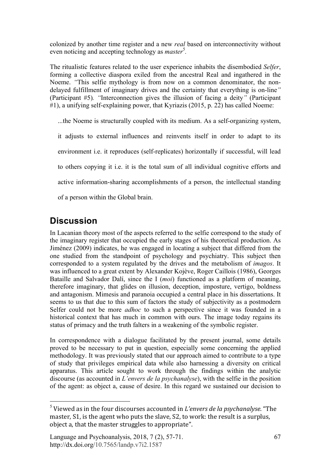colonized by another time register and a new *real* based on interconnectivity without even noticing and accepting technology as *master*<sup>5</sup>.

The ritualistic features related to the user experience inhabits the disembodied *Selfer*, forming a collective diaspora exiled from the ancestral Real and ingathered in the Noeme. *"*This selfie mythology is from now on a common denominator, the nondelayed fulfillment of imaginary drives and the certainty that everything is on-line*"* (Participant #5)*. "*Interconnection gives the illusion of facing a deity*"* (Participant #1), a unifying self-explaining power, that Kyriazis (2015, p. 22) has called Noeme:

...the Noeme is structurally coupled with its medium. As a self-organizing system, it adjusts to external influences and reinvents itself in order to adapt to its environment i.e. it reproduces (self-replicates) horizontally if successful, will lead to others copying it i.e. it is the total sum of all individual cognitive efforts and active information-sharing accomplishments of a person, the intellectual standing of a person within the Global brain.

## **Discussion**

In Lacanian theory most of the aspects referred to the selfie correspond to the study of the imaginary register that occupied the early stages of his theoretical production. As Jiménez (2009) indicates, he was engaged in locating a subject that differed from the one studied from the standpoint of psychology and psychiatry. This subject then corresponded to a system regulated by the drives and the metabolism of *imagos*. It was influenced to a great extent by Alexander Kojève, Roger Caillois (1986), Georges Bataille and Salvador Dalí, since the I (*moi*) functioned as a platform of meaning, therefore imaginary, that glides on illusion, deception, imposture, vertigo, boldness and antagonism. Mimesis and paranoia occupied a central place in his dissertations. It seems to us that due to this sum of factors the study of subjectivity as a postmodern Selfer could not be more *adhoc* to such a perspective since it was founded in a historical context that has much in common with ours. The image today regains its status of primacy and the truth falters in a weakening of the symbolic register.

In correspondence with a dialogue facilitated by the present journal, some details proved to be necessary to put in question, especially some concerning the applied methodology. It was previously stated that our approach aimed to contribute to a type of study that privileges empirical data while also harnessing a diversity on critical apparatus. This article sought to work through the findings within the analytic discourse (as accounted in *L'envers de la psychanalyse*), with the selfie in the position of the agent: as object a, cause of desire. In this regard we sustained our decision to

 <sup>5</sup> Viewed as in the four discourses accounted in *L'envers de la psychanalyse*. "The master, S1, is the agent who puts the slave, S2, to work: the result is a surplus, object a, that the master struggles to appropriate".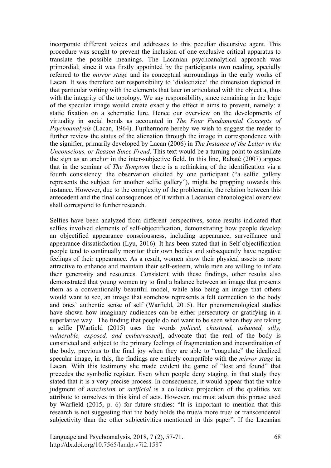incorporate different voices and addresses to this peculiar discursive agent. This procedure was sought to prevent the inclusion of one exclusive critical apparatus to translate the possible meanings. The Lacanian psychoanalytical approach was primordial; since it was firstly appointed by the participants own reading, specially referred to the *mirror stage* and its conceptual surroundings in the early works of Lacan. It was therefore our responsibility to 'dialectizice' the dimension depicted in that particular writing with the elements that later on articulated with the object a, thus with the integrity of the topology. We say responsibility, since remaining in the logic of the specular image would create exactly the effect it aims to prevent, namely: a static fixation on a schematic lure. Hence our overview on the developments of virtuality in social bonds as accounted in *The Four Fundamental Concepts of Psychoanalysis* (Lacan, 1964). Furthermore hereby we wish to suggest the reader to further review the status of the alienation through the image in correspondence with the signifier, primarily developed by Lacan (2006) in *The Instance of the Letter in the Unconscious, or Reason Since Freud*. This text would be a turning point to assimilate the sign as an anchor in the inter-subjective field. In this line, Rabaté (2007) argues that in the seminar of *The Symptom* there is a rethinking of the identification via a fourth consistency: the observation elicited by one participant ("a selfie gallery represents the subject for another selfie gallery"), might be propping towards this instance. However, due to the complexity of the problematic, the relation between this antecedent and the final consequences of it within a Lacanian chronological overview shall correspond to further research.

Selfies have been analyzed from different perspectives, some results indicated that selfies involved elements of self-objectification, demonstrating how people develop an objectified appearance consciousness, including appearance, surveillance and appearance dissatisfaction (Lyu, 2016). It has been stated that in Self objectification people tend to continually monitor their own bodies and subsequently have negative feelings of their appearance. As a result, women show their physical assets as more attractive to enhance and maintain their self-esteem, while men are willing to inflate their generosity and resources. Consistent with these findings, other results also demonstrated that young women try to find a balance between an image that presents them as a conventionally beautiful model, while also being an image that others would want to see, an image that somehow represents a felt connection to the body and ones' authentic sense of self (Warfield, 2015). Her phenomenological studies have shown how imaginary audiences can be either persecutory or gratifying in a superlative way. The finding that people do not want to be seen when they are taking a selfie [Warfield (2015) uses the words *policed, chastised, ashamed, silly, vulnerable, exposed, and embarrassed*], advocate that the real of the body is constricted and subject to the primary feelings of fragmentation and incoordination of the body, previous to the final joy when they are able to "coagulate" the idealized specular image, in this, the findings are entirely compatible with the *mirror stage* in Lacan. With this testimony she made evident the game of "lost and found" that precedes the symbolic register. Even when people deny staging, in that study they stated that it is a very precise process. In consequence, it would appear that the value judgment of *narcissism* or *artificial* is a collective projection of the qualities we attribute to ourselves in this kind of acts. However, me must advert this phrase used by Warfield (2015, p. 6) for future studies: "It is important to mention that this research is not suggesting that the body holds the true/a more true/ or transcendental subjectivity than the other subjectivities mentioned in this paper". If the Lacanian

Language and Psychoanalysis, 2018, 7 (2), 57-71. http://dx.doi.org/10.7565/landp.v7i2.1587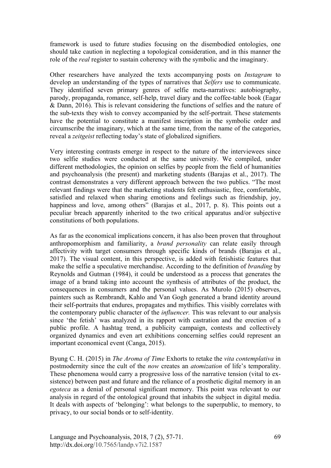framework is used to future studies focusing on the disembodied ontologies, one should take caution in neglecting a topological consideration, and in this manner the role of the *real* register to sustain coherency with the symbolic and the imaginary.

Other researchers have analyzed the texts accompanying posts on *Instagram* to develop an understanding of the types of narratives that *Selfers* use to communicate. They identified seven primary genres of selfie meta-narratives: autobiography, parody, propaganda, romance, self-help, travel diary and the coffee-table book (Eagar & Dann, 2016). This is relevant considering the functions of selfies and the nature of the sub-texts they wish to convey accompanied by the self-portrait. These statements have the potential to constitute a manifest inscription in the symbolic order and circumscribe the imaginary, which at the same time, from the name of the categories, reveal a *zeitgeist* reflecting today's state of globalized signifiers.

Very interesting contrasts emerge in respect to the nature of the interviewees since two selfie studies were conducted at the same university. We compiled, under different methodologies, the opinion on selfies by people from the field of humanities and psychoanalysis (the present) and marketing students (Barajas et al., 2017). The contrast demonstrates a very different approach between the two publics. "The most relevant findings were that the marketing students felt enthusiastic, free, comfortable, satisfied and relaxed when sharing emotions and feelings such as friendship, joy, happiness and love, among others" (Barajas et al., 2017, p. 8). This points out a peculiar breach apparently inherited to the two critical apparatus and/or subjective constitutions of both populations.

As far as the economical implications concern, it has also been proven that throughout anthropomorphism and familiarity, a *brand personality* can relate easily through affectivity with target consumers through specific kinds of brands (Barajas et al., 2017). The visual content, in this perspective, is added with fetishistic features that make the selfie a speculative merchandise. According to the definition of *branding* by Reynolds and Gutman (1984), it could be understood as a process that generates the image of a brand taking into account the synthesis of attributes of the product, the consequences in consumers and the personal values. As Murolo (2015) observes, painters such as Rembrandt, Kahlo and Van Gogh generated a brand identity around their self-portraits that endures, propagates and mythifies. This visibly correlates with the contemporary public character of the *influencer.* This was relevant to our analysis since 'the fetish' was analyzed in its rapport with castration and the erection of a public profile. A hashtag trend, a publicity campaign, contests and collectively organized dynamics and even art exhibitions concerning selfies could represent an important economical event (Canga, 2015).

Byung C. H. (2015) in *The Aroma of Time* Exhorts to retake the *vita contemplativa* in postmodernity since the cult of the *now* creates an *atomization* of life's temporality. These phenomena would carry a progressive loss of the narrative tension (vital to exsistence) between past and future and the reliance of a prosthetic digital memory in an *egoteca* as a denial of personal significant memory. This point was relevant to our analysis in regard of the ontological ground that inhabits the subject in digital media. It deals with aspects of 'belonging': what belongs to the superpublic, to memory, to privacy, to our social bonds or to self-identity.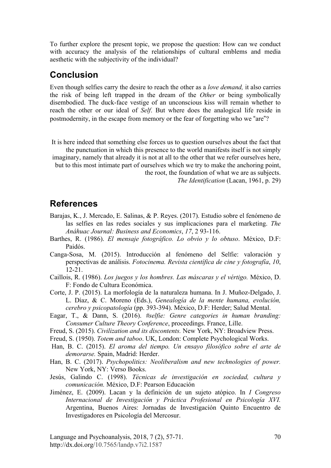To further explore the present topic, we propose the question: How can we conduct with accuracy the analysis of the relationships of cultural emblems and media aesthetic with the subjectivity of the individual?

### **Conclusion**

Even though selfies carry the desire to reach the other as a *love demand,* it also carries the risk of being left trapped in the dream of the *Other* or being symbolically disembodied. The duck-face vestige of an unconscious kiss will remain whether to reach the other or our ideal of *Self*. But where does the analogical life reside in postmodernity, in the escape from memory or the fear of forgetting who we "are"?

It is here indeed that something else forces us to question ourselves about the fact that the punctuation in which this presence to the world manifests itself is not simply imaginary, namely that already it is not at all to the other that we refer ourselves here, but to this most intimate part of ourselves which we try to make the anchoring point, the root, the foundation of what we are as subjects. *The Identification* (Lacan, 1961, p. 29)

#### **References**

- Barajas, K., J. Mercado, E. Salinas, & P. Reyes. (2017). Estudio sobre el fenómeno de las selfies en las redes sociales y sus implicaciones para el marketing. *The Anáhuac Journal: Business and Economics*, *17*, 2 93-116.
- Barthes, R. (1986). *El mensaje fotográfico. Lo obvio y lo obtuso*. México, D.F: Paidós.
- Canga-Sosa, M. (2015). Introducción al fenómeno del Selfie: valoración y perspectivas de análisis. *Fotocinema. Revista científica de cine y fotografía*, *10*, 12-21.
- Caillois, R. (1986). *Los juegos y los hombres. Las máscaras y el vértigo.* México, D. F: Fondo de Cultura Económica.
- Corte, J. P. (2015). La morfología de la naturaleza humana. In J. Muñoz-Delgado, J. L. Díaz, & C. Moreno (Eds.), *Genealogía de la mente humana, evolución, cerebro y psicopatología* (pp. 393-394). México, D.F: Herder; Salud Mental.
- Eagar, T., & Dann, S. (2016). *#selfie: Genre categories in human branding: Consumer Culture Theory Conference*, proceedings. France, Lille.
- Freud, S. (2015). *Civilization and its discontents.* New York, NY: Broadview Press.
- Freud, S. (1950). *Totem and taboo*. UK, London: Complete Psychological Works.
- Han, B. C. (2015). *El aroma del tiempo. Un ensayo filosófico sobre el arte de demorarse.* Spain, Madrid: Herder.
- Han, B. C. (2017). *Psychopolitics: Neoliberalism and new technologies of power.* New York, NY: Verso Books.
- Jesús, Galindo C. (1998). *Técnicas de investigación en sociedad, cultura y comunicación.* México, D.F: Pearson Educación
- Jiménez, E. (2009). Lacan y la definición de un sujeto atópico. In *I Congreso Internacional de Investigación y Práctica Profesional en Psicología XVI.* Argentina, Buenos Aires: Jornadas de Investigación Quinto Encuentro de Investigadores en Psicología del Mercosur.

Language and Psychoanalysis, 2018, 7 (2), 57-71. http://dx.doi.org/10.7565/landp.v7i2.1587